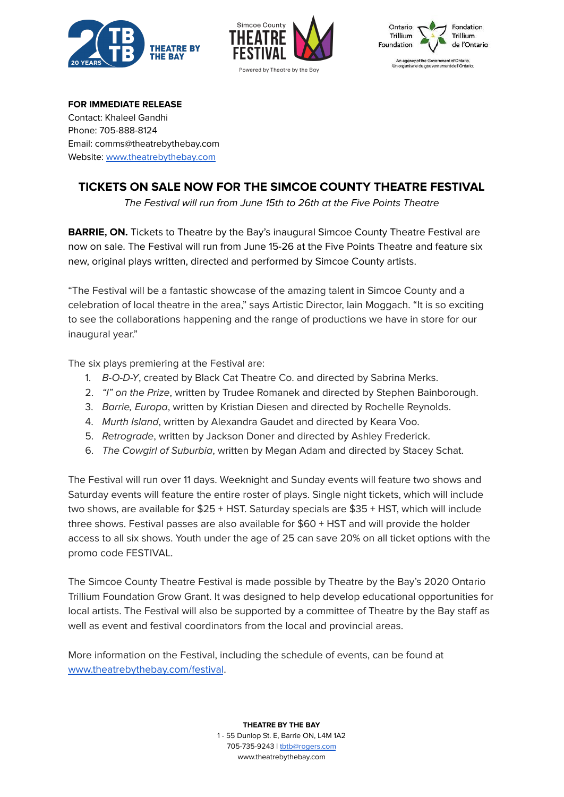





**FOR IMMEDIATE RELEASE** Contact: Khaleel Gandhi Phone: 705-888-8124 Email: comms@theatrebythebay.com Website: [www.theatrebythebay.com](http://www.theatrebythebay.com/learn)

## **TICKETS ON SALE NOW FOR THE SIMCOE COUNTY THEATRE FESTIVAL**

The Festival will run from June 15th to 26th at the Five Points Theatre

**BARRIE, ON.** Tickets to Theatre by the Bay's inaugural Simcoe County Theatre Festival are now on sale. The Festival will run from June 15-26 at the Five Points Theatre and feature six new, original plays written, directed and performed by Simcoe County artists.

"The Festival will be a fantastic showcase of the amazing talent in Simcoe County and a celebration of local theatre in the area," says Artistic Director, Iain Moggach. "It is so exciting to see the collaborations happening and the range of productions we have in store for our inaugural year."

The six plays premiering at the Festival are:

- 1. B-O-D-Y, created by Black Cat Theatre Co. and directed by Sabrina Merks.
- 2. "I" on the Prize, written by Trudee Romanek and directed by Stephen Bainborough.
- 3. Barrie, Europa, written by Kristian Diesen and directed by Rochelle Reynolds.
- 4. Murth Island, written by Alexandra Gaudet and directed by Keara Voo.
- 5. Retrograde, written by Jackson Doner and directed by Ashley Frederick.
- 6. The Cowgirl of Suburbia, written by Megan Adam and directed by Stacey Schat.

The Festival will run over 11 days. Weeknight and Sunday events will feature two shows and Saturday events will feature the entire roster of plays. Single night tickets, which will include two shows, are available for \$25 + HST. Saturday specials are \$35 + HST, which will include three shows. Festival passes are also available for \$60 + HST and will provide the holder access to all six shows. Youth under the age of 25 can save 20% on all ticket options with the promo code FESTIVAL.

The Simcoe County Theatre Festival is made possible by Theatre by the Bay's 2020 Ontario Trillium Foundation Grow Grant. It was designed to help develop educational opportunities for local artists. The Festival will also be supported by a committee of Theatre by the Bay staff as well as event and festival coordinators from the local and provincial areas.

More information on the Festival, including the schedule of events, can be found at [www.theatrebythebay.com/festival](http://www.theatrebythebay.com/festival).

**THEATRE BY THE BAY**

1 - 55 Dunlop St. E, Barrie ON, L4M 1A2 705-735-9243 | [tbtb@rogers.com](mailto:tbtb@rogers.com) www.theatrebythebay.com